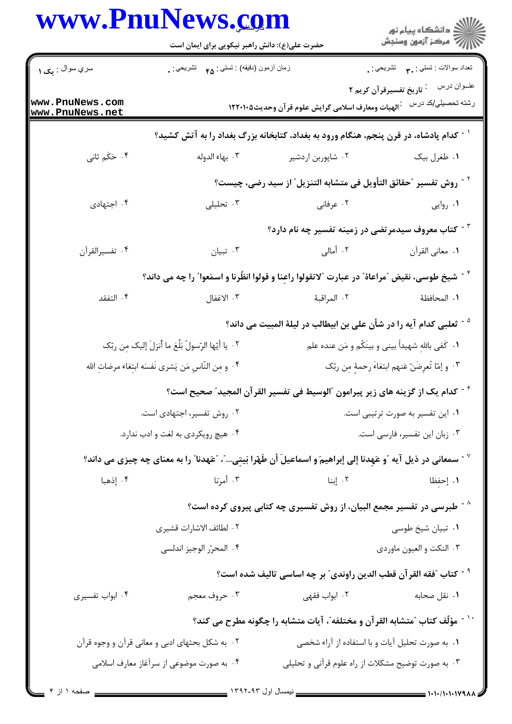|                                                       | حضرت علی(ع): دانش راهبر نیکویی برای ایمان است                                                                                |                                                                                                   |                                                                     |
|-------------------------------------------------------|------------------------------------------------------------------------------------------------------------------------------|---------------------------------------------------------------------------------------------------|---------------------------------------------------------------------|
| سري سوال : يک ۱                                       | زمان أزمون (دقيقه) : تستى : ۴۵ — تشريحي : .                                                                                  |                                                                                                   | نعداد سوالات : تستبي : ٣ <sub>٠</sub> ٠       تشريحي : <sub>.</sub> |
| www.PnuNews.com<br>www.PnuNews.net                    |                                                                                                                              | رشته تحصبلي/كد درس معارف اسلامی گرايش علوم قرآن وحديث١٢٢٠١٠٥                                      | عنــوان درس<br><sup>:</sup> تاریخ تفسیرقرآن کریم ۲                  |
|                                                       |                                                                                                                              | <sup>۱ -</sup> کدام پادشاه، در قرن پنجم، هنگام ورود به بغداد، کتابخانه بزرگ بغداد را به آتش کشید؟ |                                                                     |
| ۰۴ حَکَم ثانی                                         | ۰۳ بهاء الدوله                                                                                                               | ۰۲ شاپوربن اردشیر                                                                                 | ۰۱ طغرل بیک                                                         |
|                                                       |                                                                                                                              | <sup>٢ -</sup> روش تفسير "حقائق التأويل في متشابه التنزيل" از سيد رضي، چيست؟                      |                                                                     |
| ۰۴ اجتهادی                                            | ۰۳ تحلیلی                                                                                                                    | ۰۲ عرفانی                                                                                         | ۰۱ روایی                                                            |
|                                                       |                                                                                                                              | <sup>۳ -</sup> کتاب معروف سیدمرتضی در زمینه تفسیر چه نام دارد؟                                    |                                                                     |
| ۰۴ تفسيرالقرأن                                        | ۰۳ تبيان                                                                                                                     | ۰۲ أمالي                                                                                          | ٠١. معاني القرآن                                                    |
|                                                       | <sup>٢ -</sup> شيخ طوسى، نقيض ″مراعاة″ در عبارت ″لاتقولوا راعِنا و قولوا انظُرنا و اسمَعوا″ را چه مى داند؟                   |                                                                                                   |                                                                     |
| ۰۴ التفقد                                             | ۰۳ الاغفال                                                                                                                   | ٢. المراقبة                                                                                       | ١. المحافظهٔ                                                        |
|                                                       |                                                                                                                              | <sup>ه -</sup> ثعلبی کدام آیه را در شأن علی بن ابیطالب در لیلهٔ المبیت می داند؟                   |                                                                     |
|                                                       | ٢٠. يا أيّها الرّسولُ بَلِّغ ما أُنزلَ إليك مِن ربّك                                                                         |                                                                                                   | ٠١ كَفي باللهِ شهيداً بيني و بينَكُم و مَن عنده علم                 |
| ۰۴ و مِن النّاسِ مَن يَشرى نَفسَه ابتِغاء مرضاتِ الله |                                                                                                                              |                                                                                                   | ٠٣ و إمّا تُعرِضَنّ عَنهم ابتغاءَ رحمهِ مِن ربّك                    |
|                                                       |                                                                                                                              | گرام یک از گزینه های زیر پیرامون آالوسیط فی تفسیر القرآن المجید <i>" صح</i> یح است؟ *             |                                                                     |
|                                                       | ۰۲ روش تفسیر، اجتهادی است.                                                                                                   | ٠١ اين تفسير به صورت ترتيبي است.                                                                  |                                                                     |
|                                                       | ۰۴ هیچ رویکردی به لغت و ادب ندارد.                                                                                           |                                                                                                   | ٠٣ زبان اين تفسير، فارسى است.                                       |
|                                                       | <sup>7</sup> - سمعانی در ذیل آیه ″و عَهِدنا إلی إبراهیمَ و اسماعیلَ أن طَهّرا بَیتِی″، ″عَهدنا″ را به معنای چه چیزی می داند؟ |                                                                                                   |                                                                     |
| ۰۴ إذهبا                                              | ۰۳ أمرَنا                                                                                                                    | ۰۲ إبنا                                                                                           | ١. إحفظا                                                            |
|                                                       | ر - طبرسی در تفسیر مجمع البیان، از روش تفسیری چه کتابی پیروی کرده است $\wedge$                                               |                                                                                                   |                                                                     |
|                                                       | ٢. لطائف الاشارات قشيرى                                                                                                      |                                                                                                   | ۰۱ تبیان شیخ طوسی                                                   |
|                                                       | ۰۴ المحرّر الوجيز اندلسي                                                                                                     |                                                                                                   | ۰۳ النكت و العيون ماوردي                                            |
|                                                       |                                                                                                                              | <sup>9 -</sup> كتاب ؒفقه القرآن قطب الدين راوندى ؒ بر چه اساسى تاليف شده است؟                     |                                                                     |
| ۰۴ ابواب تفسیری                                       | ۰۳ حروف معجم                                                                                                                 | ۰۲ ابواب فقهی                                                                                     | ۰۱ نقل صحابه                                                        |
|                                                       |                                                                                                                              | `` ^ مؤلّف كتاب ″متشابه القرآن و مختلفه″، آيات متشابه را چگونه مطرح مى كند؟                       |                                                                     |
|                                                       | ۰۲ به شکل بحثهای ادبی و معانی قرآن و وجوه قرآن                                                                               | ٠١ به صورت تحليل آيات و با استفاده از آراء شخصي                                                   |                                                                     |
|                                                       | ۰۴ به صورت موضوعی از سرآغاز معارف اسلامی                                                                                     | ۰۳ به صورت توضیح مشکلات از راه علوم قرآنی و تحلیلی                                                |                                                                     |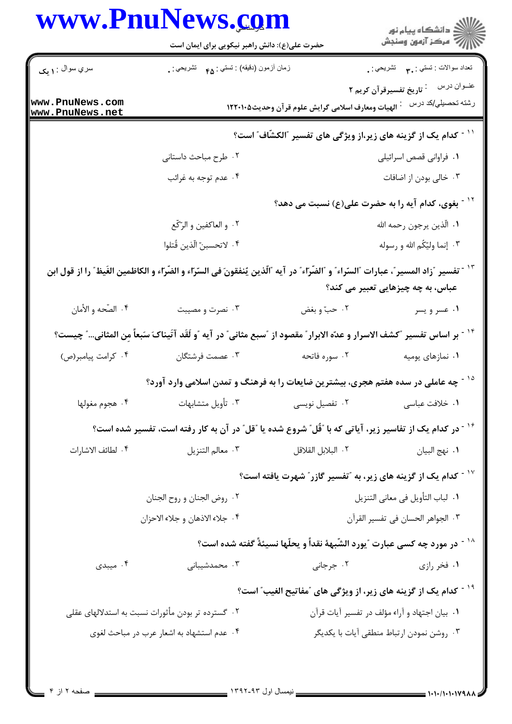|                                    | www.PnuNews.com                                                                                                                      |                                                   |                                                                                         |  |
|------------------------------------|--------------------------------------------------------------------------------------------------------------------------------------|---------------------------------------------------|-----------------------------------------------------------------------------------------|--|
|                                    | حضرت علی(ع): دانش راهبر نیکویی برای ایمان است                                                                                        |                                                   | ِ<br>∭ دانشڪاه پيام نور<br>∭ مرڪز آزمون وسنڊش                                           |  |
| سري سوال : <b>۱ يک</b>             | زمان أزمون (دقيقه) : تستى : ۴۵ — تشريحي : .                                                                                          |                                                   | نعداد سوالات : تستبي : ٣ <b>.</b> تشريحي : .                                            |  |
| www.PnuNews.com<br>www.PnuNews.net |                                                                                                                                      | الهيات ومعارف اسلامي گرايش علوم قرآن وحديث١٢٢٠١٠٥ | عنــوان درس<br><sup>:</sup> تاریخ تفسیرقرآن کریم ۲<br>رشته تحصيلي/كد درس                |  |
|                                    | <sup>۱۱ -</sup> کدام یک از گزینه های زیر،از ویژگی های تفسیر آالکشّاف <i>ّ </i> است؟                                                  |                                                   |                                                                                         |  |
|                                    | ۰۲ طرح مباحث داستانی                                                                                                                 |                                                   | ٠١ فراواني قصص اسرائيلي                                                                 |  |
|                                    | ۰۴ عدم توجه به غرائب                                                                                                                 |                                                   | ۰۳ خالی بودن از اضافات                                                                  |  |
|                                    |                                                                                                                                      |                                                   | `` - بغوی، کدام آیه را به حضرت علی(ع) نسبت می دهد؟                                      |  |
|                                    | ۰۲ و العاكفين و الرّكّع                                                                                                              |                                                   | ٠١. الّذين يرجون رحمه الله                                                              |  |
|                                    | ۴. لاتحسبنّ الّذين قُتلوا                                                                                                            |                                                   | ۰۳ إنما وليّكُم الله و رسوله                                                            |  |
|                                    | ّ`` - تفسير ″زاد المسير″، عبارات ″السّراء″ و ″الضّراء″ در آيه ″الّذين يُنفقونَ في السّراء و الضّراء و الكاظمين الغَيظ″ را از قول ابن |                                                   |                                                                                         |  |
|                                    |                                                                                                                                      |                                                   | عباس، به چه چیزهایی تعبیر می کند؟                                                       |  |
| ۰۴ الصّحه و الأمان                 | ۰۳ نصرت و مصیبت                                                                                                                      | ۰۲ حبّ و بغض                                      | ۰۱ عسر و یسر                                                                            |  |
|                                    | <sup>۱۲ -</sup> بر اساس تفسير "كشف الاسرار و عدّه الابرار" مقصود از "سبع مثانى" در آيه "و لَقَد آتَيناكَ سَبعاً مِن المثانى" چيست؟   |                                                   |                                                                                         |  |
| ۰۴ كرامت پيامبر(ص)                 | ۰۳ عصمت فرشتگان                                                                                                                      | ۰۲ سوره فاتحه                                     | ۰۱ نمازهای پومیه                                                                        |  |
|                                    | چه عاملی در سده هفتم هجری، بیشترین ضایعات را به فرهنگ و تمدن اسلامی وارد آورد؟                                                       |                                                   |                                                                                         |  |
| ۰۴ هجوم مغولها                     | ۰۳ تأويل متشابهات                                                                                                                    | ۰۲ تفصیل نویسی                                    | ٠١ خلافت عباسي                                                                          |  |
|                                    | <sup>۱۶ -</sup> در کدام یک از تفاسیر زیر، آیاتی که با آقُل ؒ شروع شده یا ؒقل ؒ در آن به کار رفته است، تفسیر شده است؟                 |                                                   |                                                                                         |  |
| ۴. لطائف الاشارات                  | ٠٣ معالم التنزيل                                                                                                                     | ٢. البلابل القلاقل                                | ٠١. نهج البيان                                                                          |  |
|                                    |                                                                                                                                      |                                                   | <sup>۱۷ -</sup> کدام یک از گزینه های زیر، به <sup>"</sup> تفسیر گازر" شهرت یافته است؟   |  |
|                                    | ٠٢ روض الجنان و روح الجنان                                                                                                           |                                                   | ٠١ لباب التأويل في معاني التنزيل                                                        |  |
|                                    | ۰۴ جلاء الاذهان و جلاء الاحزان                                                                                                       |                                                   | ٠٣ الجواهر الحسان في تفسير القرآن                                                       |  |
|                                    |                                                                                                                                      |                                                   | <sup>۱۸ -</sup> در مورد چه کسی عبارت ″یورد الشّبههٔ نقداً و یحلّها نسیئةً گفته شده است؟ |  |
| ۰۴ میبدی                           | ۰۳ محمدشیبانی                                                                                                                        | ۰۲ جرجانی                                         | ۰۱ فخر رازی                                                                             |  |
|                                    |                                                                                                                                      |                                                   | <sup>۱۹ -</sup> كدام یک از گزینه های زیر، از ویژگی های ″مفاتیح الغیب″ است؟              |  |
|                                    | ۰۲ گسترده تر بودن مأثورات نسبت به استدلالهای عقلی                                                                                    |                                                   | ٠١. بيان اجتهاد و آراء مؤلف در تفسير آيات قرآن                                          |  |
|                                    | ۰۴ عدم استشهاد به اشعار عرب در مباحث لغوي                                                                                            |                                                   | ۰۳ روشن نمودن ارتباط منطقی آیات با یکدیگر                                               |  |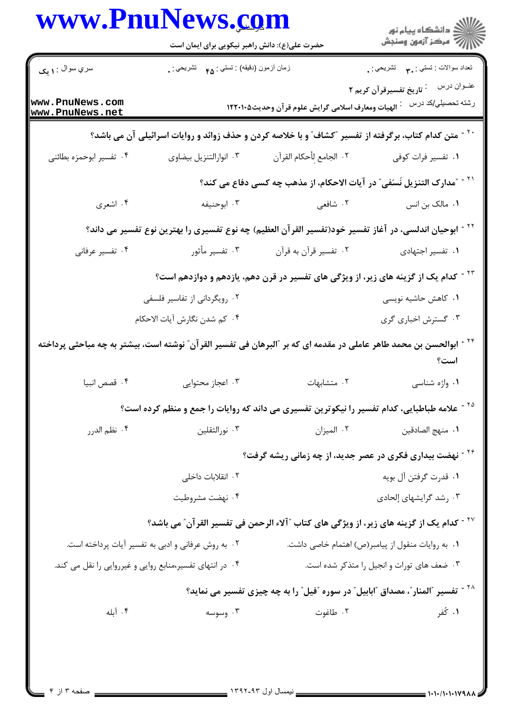|                                    | حضرت علی(ع): دانش راهبر نیکویی برای ایمان است            |                                                                                                                                | ڪ دانشڪاه پيام نور<br><mark>ر</mark> ⊽ مرڪز آزمون وسنڊش                  |
|------------------------------------|----------------------------------------------------------|--------------------------------------------------------------------------------------------------------------------------------|--------------------------------------------------------------------------|
| سري سوال : ۱ يک                    | زمان أزمون (دقيقه) : تستي : ۴۵ — تشريحي : .              |                                                                                                                                | نعداد سوالات : تستبي : پم        تشريحي : .                              |
| www.PnuNews.com<br>www.PnuNews.net |                                                          | الهيات ومعارف اسلامي گرايش علوم قرآن وحديث١٢٢٠١٠٥                                                                              | عنــوان درس<br><sup>:</sup> تاریخ تفسیرقرآن کریم ۲<br>رشته تحصيلي/كد درس |
|                                    |                                                          | <sup>۲۰ -</sup> متن کدام کتاب، برگرفته از تفسیر ″کشاف″ و با خلاصه کردن و حذف زوائد و روایات اسرائیلی آن می باشد؟               |                                                                          |
| ۰۴ تفسیر ابوحمزه بطائنی            | ۰۳ انوارالتنزيل بيضاوى                                   | ٢. الجامع لِأحكام القرآن                                                                                                       | ۰۱ تفسیر فرات کوفی                                                       |
|                                    |                                                          | ً ` ` ~ آمدارک التنزیل نَسَفی ّ در آیات الاحکام، از مذهب چه کسی دفاع می کند؟                                                   |                                                                          |
| ۰۴ اشعري                           | ۰۳ ابوحنيفه                                              | ۲. شافعی                                                                                                                       | ۰۱ مالک بن انس                                                           |
|                                    |                                                          | <sup>۲۲ -</sup> ابوحیان اندلسی، در آغاز تفسیر خود(تفسیر القرآن العظیم) چه نوع تفسیری را بهترین نوع تفسیر می داند؟              |                                                                          |
| ۰۴ تفسیر عرفانی                    | ۰۳ تفسیر مأثور                                           | ۰۲ تفسیر قرآن به قرآن                                                                                                          | ٠١ تفسير اجتهادى                                                         |
|                                    |                                                          | <sup>۲۳ -</sup> کدام یک از گزینه های زیر، از ویژگی های تفسیر در قرن دهم، یازدهم و دوازدهم است؟                                 |                                                                          |
|                                    | ۰۲ رویگردانی از تفاسیر فلسفی                             |                                                                                                                                | ۰۱ کاهش حاشیه نویسی                                                      |
|                                    | ۴. كم شدن نگارش آيات الاحكام                             |                                                                                                                                | ۰۳ گسترش اخباری گری                                                      |
|                                    |                                                          | <sup>۲۴ -</sup> ابوالحسن بن محمد طاهر عاملی در مقدمه ای که بر ″البرهان فی تفسیر القر آن″ نوشته است، بیشتر به چه مباحثی پرداخته | است؟                                                                     |
| ۰۴ قصص انبیا                       | ۰۳ اعجاز محتوایی                                         | ٠٢ متشابهات                                                                                                                    | ۰۱ واژه شناسی                                                            |
|                                    |                                                          | <sup>۲۵ -</sup> علامه طباطبایی، کدام تفسیر را نیکوترین تفسیری می داند که روایات را جمع و منظم کرده است؟                        |                                                                          |
| ۰۴ نظم الدرر                       | ۰۳ نورالثقلین                                            | ٠٢ الميزان                                                                                                                     | ٠١. منهج الصادقين                                                        |
|                                    |                                                          | <sup>۲۶ -</sup> نهضت بیداری فکری در عصر جدید، از چه زمانی ریشه گرفت؟                                                           |                                                                          |
|                                    | ۰۲ انقلابات داخلی                                        |                                                                                                                                | ٠١ قدرت گرفتن آل بويه                                                    |
|                                    | ۰۴ نهضت مشروطیت                                          |                                                                                                                                | ۰۳ رشد گرایشهای إلحادی                                                   |
|                                    |                                                          | `` - كدام يك از گزينه هاى زير ، از ويژگى هاى كتاب ″آلاء الرحمن فى تفسير القرآن″ مى باشد؟                                       |                                                                          |
|                                    | ۰۲ به روش عرفانی و ادبی به تفسیر آیات پرداخته است.       | ٠١ به روايات منقول از پيامبر(ص) اهتمام خاصي داشت.                                                                              |                                                                          |
|                                    | ۰۴ در انتهای تفسیر،منابع روایی و غیرروایی را نقل می کند. |                                                                                                                                | ۰۳ ضعف های تورات و انجیل را متذکر شده است.                               |
|                                    |                                                          | <sup>۲۸ -</sup> تفسیر آلمنار ّ، مصداق آابابیل ّ در سوره آفیل ّ را به چه چیزی تفسیر می نماید؟                                   |                                                                          |
|                                    |                                                          |                                                                                                                                | ۰۱ کُفر                                                                  |